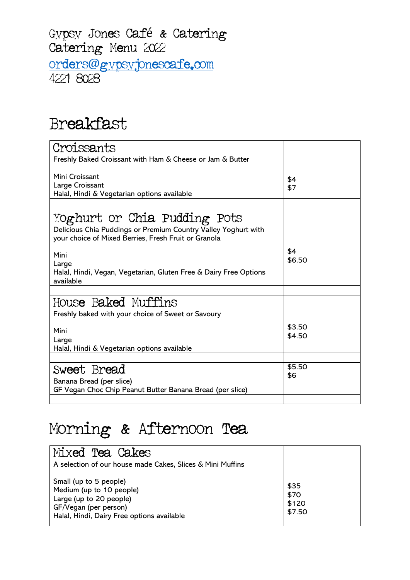## Gypsy Jones Café & Catering<br>Catering Menu 2022 orders[@](mailto:orders@gypsyjonescafe.com)gypsyjonescafe.com

#### Breakfast

| Croissants                                                                                                                                             |                  |
|--------------------------------------------------------------------------------------------------------------------------------------------------------|------------------|
| Freshly Baked Croissant with Ham & Cheese or Jam & Butter                                                                                              |                  |
| Mini Croissant<br>Large Croissant<br>Halal, Hindi & Vegetarian options available                                                                       | \$4<br>\$7       |
|                                                                                                                                                        |                  |
| Yoghurt or Chia Pudding Pots<br>Delicious Chia Puddings or Premium Country Valley Yoghurt with<br>your choice of Mixed Berries, Fresh Fruit or Granola |                  |
| Mini<br>Large<br>Halal, Hindi, Vegan, Vegetarian, Gluten Free & Dairy Free Options<br>available                                                        | \$4<br>\$6.50    |
|                                                                                                                                                        |                  |
| House Baked Muffins<br>Freshly baked with your choice of Sweet or Savoury                                                                              |                  |
| Mini<br>Large<br>Halal, Hindi & Vegetarian options available                                                                                           | \$3.50<br>\$4.50 |
|                                                                                                                                                        |                  |
| Sweet Bread<br>Banana Bread (per slice)<br>GF Vegan Choc Chip Peanut Butter Banana Bread (per slice)                                                   | \$5.50<br>\$6    |
|                                                                                                                                                        |                  |

#### Morning & Afternoon Tea

| Mixed Tea Cakes<br>A selection of our house made Cakes, Slices & Mini Muffins                                                                        |                                 |
|------------------------------------------------------------------------------------------------------------------------------------------------------|---------------------------------|
| Small (up to 5 people)<br>Medium (up to 10 people)<br>Large (up to 20 people)<br>GF/Vegan (per person)<br>Halal, Hindi, Dairy Free options available | \$35<br>\$70<br>\$120<br>\$7.50 |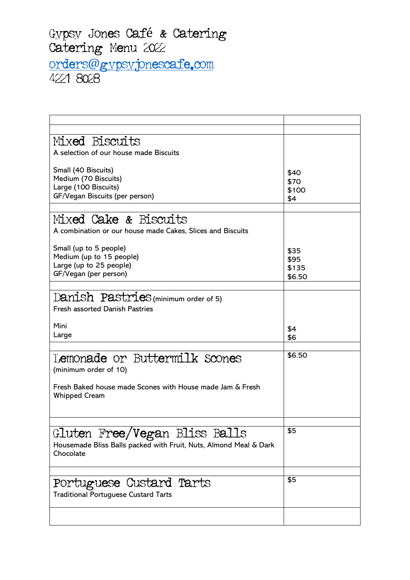| Mixed Biscuits                                                    |        |
|-------------------------------------------------------------------|--------|
| A selection of our house made Biscuits                            |        |
|                                                                   |        |
| Small (40 Biscuits)                                               | \$40   |
| Medium (70 Biscuits)                                              | \$70   |
| Large (100 Biscuits)                                              | \$100  |
| GF/Vegan Biscuits (per person)                                    | \$4    |
|                                                                   |        |
| Mixed Cake & Biscuits                                             |        |
| A combination or our house made Cakes, Slices and Biscuits        |        |
|                                                                   |        |
| Small (up to 5 people)                                            | \$35   |
| Medium (up to 15 people)                                          | \$95   |
| Large (up to 25 people)                                           | \$135  |
| GF/Vegan (per person)                                             | \$6.50 |
|                                                                   |        |
| Danish Pastries (minimum order of 5)                              |        |
| <b>Fresh assorted Danish Pastries</b>                             |        |
|                                                                   |        |
| Mini                                                              | \$4    |
| Large                                                             | \$6    |
|                                                                   |        |
| Lemonade or Buttermilk Scones                                     | \$6.50 |
|                                                                   |        |
| (minimum order of 10)                                             |        |
| Fresh Baked house made Scones with House made Jam & Fresh         |        |
| <b>Whipped Cream</b>                                              |        |
|                                                                   |        |
|                                                                   |        |
|                                                                   |        |
| Gluten Free/Vegan Bliss Balls                                     | \$5    |
| Housemade Bliss Balls packed with Fruit, Nuts, Almond Meal & Dark |        |
| Chocolate                                                         |        |
|                                                                   |        |
|                                                                   |        |
|                                                                   |        |
|                                                                   | \$5    |
| Portuguese Custard Tarts                                          |        |
| <b>Traditional Portuguese Custard Tarts</b>                       |        |
|                                                                   |        |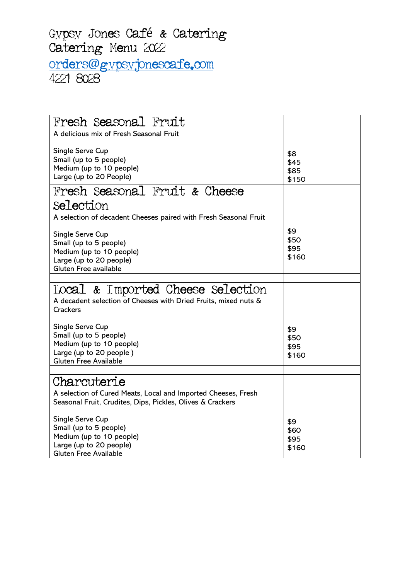| Fresh Seasonal Fruit                                             |       |
|------------------------------------------------------------------|-------|
| A delicious mix of Fresh Seasonal Fruit                          |       |
|                                                                  |       |
| Single Serve Cup                                                 | \$8   |
| Small (up to 5 people)                                           | \$45  |
| Medium (up to 10 people)<br>Large (up to 20 People)              | \$85  |
|                                                                  | \$150 |
| Fresh Seasonal Fruit & Cheese                                    |       |
| Selection                                                        |       |
| A selection of decadent Cheeses paired with Fresh Seasonal Fruit |       |
|                                                                  | \$9   |
| Single Serve Cup                                                 | \$50  |
| Small (up to 5 people)<br>Medium (up to 10 people)               | \$95  |
| Large (up to 20 people)                                          | \$160 |
| Gluten Free available                                            |       |
|                                                                  |       |
| local & Imported Cheese Selection                                |       |
| A decadent selection of Cheeses with Dried Fruits, mixed nuts &  |       |
| Crackers                                                         |       |
|                                                                  |       |
| Single Serve Cup                                                 | \$9   |
| Small (up to 5 people)                                           | \$50  |
| Medium (up to 10 people)                                         | \$95  |
| Large (up to 20 people)                                          | \$160 |
| Gluten Free Available                                            |       |
|                                                                  |       |
| Charcuterie                                                      |       |
| A selection of Cured Meats, Local and Imported Cheeses, Fresh    |       |
| Seasonal Fruit, Crudites, Dips, Pickles, Olives & Crackers       |       |
| Single Serve Cup                                                 | \$9   |
| Small (up to 5 people)                                           | \$60  |
| Medium (up to 10 people)                                         | \$95  |
| Large (up to 20 people)                                          | \$160 |
| <b>Gluten Free Available</b>                                     |       |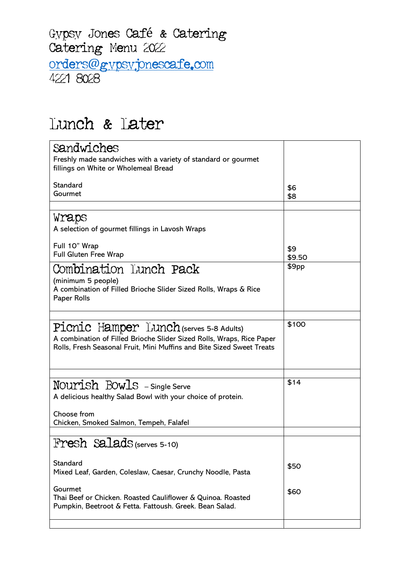Gypsy Jones Café & Catering<br>Catering Menu 2022 orders[@](mailto:orders@gypsyjonescafe.com)gypsyjonescafe.com

#### Lunch & Later

| Sandwiches                                                                                                                                                                                |               |
|-------------------------------------------------------------------------------------------------------------------------------------------------------------------------------------------|---------------|
| Freshly made sandwiches with a variety of standard or gourmet<br>fillings on White or Wholemeal Bread                                                                                     |               |
| Standard<br>Gourmet                                                                                                                                                                       | \$6           |
|                                                                                                                                                                                           | \$8           |
| Wraps                                                                                                                                                                                     |               |
| A selection of gourmet fillings in Lavosh Wraps                                                                                                                                           |               |
| Full 10" Wrap<br>Full Gluten Free Wrap                                                                                                                                                    | \$9<br>\$9.50 |
| Combination Lunch Pack<br>(minimum 5 people)<br>A combination of Filled Brioche Slider Sized Rolls, Wraps & Rice<br>Paper Rolls                                                           | \$9pp         |
|                                                                                                                                                                                           | \$100         |
| Picnic Hamper Lunch (serves 5-8 Adults)<br>A combination of Filled Brioche Slider Sized Rolls, Wraps, Rice Paper<br>Rolls, Fresh Seasonal Fruit, Mini Muffins and Bite Sized Sweet Treats |               |
|                                                                                                                                                                                           |               |
| NOUTISh BOWIS - Single Serve                                                                                                                                                              | \$14          |
| A delicious healthy Salad Bowl with your choice of protein.                                                                                                                               |               |
| Choose from<br>Chicken, Smoked Salmon, Tempeh, Falafel                                                                                                                                    |               |
|                                                                                                                                                                                           |               |
| Fresh SaladS (serves 5-10)                                                                                                                                                                |               |
| Standard<br>Mixed Leaf, Garden, Coleslaw, Caesar, Crunchy Noodle, Pasta                                                                                                                   | \$50          |
| Gourmet<br>Thai Beef or Chicken. Roasted Cauliflower & Quinoa. Roasted<br>Pumpkin, Beetroot & Fetta. Fattoush. Greek. Bean Salad.                                                         | \$60          |
|                                                                                                                                                                                           |               |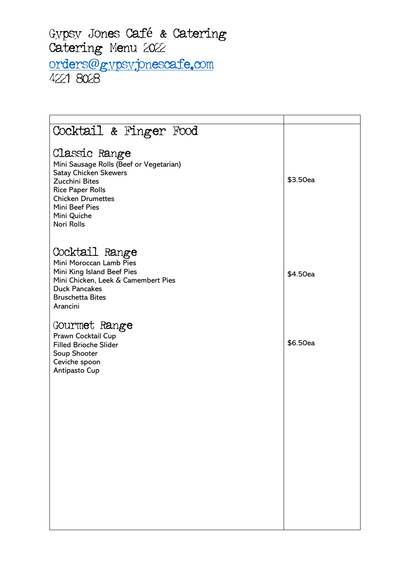## Gypsy Jones Café & Catering<br>Catering Menu 2022 orders[@](mailto:orders@gypsyjonescafe.com)gypsyjonescafe.com

| Cocktail & Finger Food                                                                                                                                                                                    |          |
|-----------------------------------------------------------------------------------------------------------------------------------------------------------------------------------------------------------|----------|
| Classic Range<br>Mini Sausage Rolls (Beef or Vegetarian)<br>Satay Chicken Skewers<br>Zucchini Bites<br><b>Rice Paper Rolls</b><br><b>Chicken Drumettes</b><br>Mini Beef Pies<br>Mini Quiche<br>Nori Rolls | \$3.50ea |
| Cocktail Range<br>Mini Moroccan Lamb Pies<br>Mini King Island Beef Pies<br>Mini Chicken, Leek & Camembert Pies<br><b>Duck Pancakes</b><br><b>Bruschetta Bites</b><br>Arancini                             | \$4.50ea |
| Gourmet Range<br>Prawn Cocktail Cup<br><b>Filled Brioche Slider</b><br>Soup Shooter<br>Ceviche spoon<br>Antipasto Cup                                                                                     | \$6.50ea |
|                                                                                                                                                                                                           |          |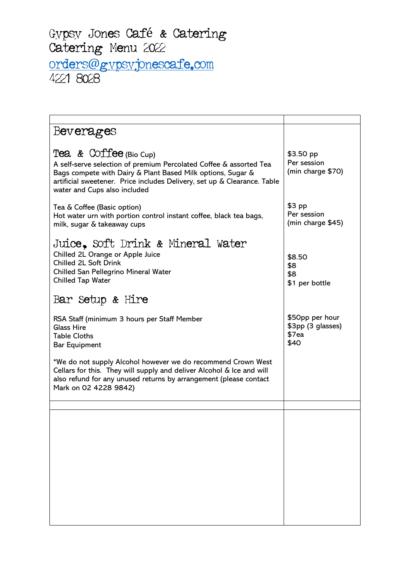| Beverages                                                                                                                                                                                                                                                               |                                                       |
|-------------------------------------------------------------------------------------------------------------------------------------------------------------------------------------------------------------------------------------------------------------------------|-------------------------------------------------------|
| Tea & Coffee (Bio Cup)<br>A self-serve selection of premium Percolated Coffee & assorted Tea<br>Bags compete with Dairy & Plant Based Milk options, Sugar &<br>artificial sweetener. Price includes Delivery, set up & Clearance. Table<br>water and Cups also included | \$3.50 pp<br>Per session<br>(min charge \$70)         |
| Tea & Coffee (Basic option)<br>Hot water urn with portion control instant coffee, black tea bags,<br>milk, sugar & takeaway cups                                                                                                                                        | $$3$ pp<br>Per session<br>(min charge \$45)           |
| Juice, Soft Drink & Mineral Water<br>Chilled 2L Orange or Apple Juice<br><b>Chilled 2L Soft Drink</b><br>Chilled San Pellegrino Mineral Water<br>Chilled Tap Water                                                                                                      | \$8.50<br>\$8<br>\$8<br>\$1 per bottle                |
| Bar Setup & Hire                                                                                                                                                                                                                                                        |                                                       |
| RSA Staff (minimum 3 hours per Staff Member<br><b>Glass Hire</b><br><b>Table Cloths</b><br><b>Bar Equipment</b>                                                                                                                                                         | \$50pp per hour<br>\$3pp (3 glasses)<br>\$7ea<br>\$40 |
| *We do not supply Alcohol however we do recommend Crown West<br>Cellars for this. They will supply and deliver Alcohol & Ice and will<br>also refund for any unused returns by arrangement (please contact<br>Mark on 02 4228 9842)                                     |                                                       |
|                                                                                                                                                                                                                                                                         |                                                       |
|                                                                                                                                                                                                                                                                         |                                                       |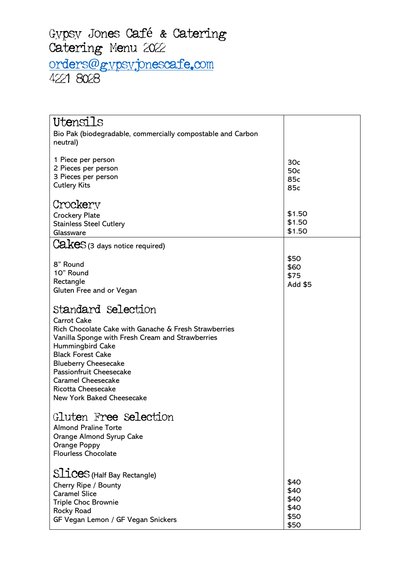| Utensils                                                      |              |
|---------------------------------------------------------------|--------------|
| Bio Pak (biodegradable, commercially compostable and Carbon   |              |
| neutral)                                                      |              |
|                                                               |              |
| 1 Piece per person                                            | 30c          |
| 2 Pieces per person<br>3 Pieces per person                    | 50c          |
| <b>Cutlery Kits</b>                                           | 85c<br>85c   |
|                                                               |              |
| Crockery                                                      |              |
| <b>Crockery Plate</b>                                         | \$1.50       |
| <b>Stainless Steel Cutlery</b>                                | \$1.50       |
| Glassware                                                     | \$1.50       |
| $\text{Ca}$ $\text{kes}$ (3 days notice required)             |              |
|                                                               |              |
| 8" Round                                                      | \$50<br>\$60 |
| 10" Round                                                     | \$75         |
| Rectangle                                                     | Add \$5      |
| Gluten Free and or Vegan                                      |              |
|                                                               |              |
| Standard Selection                                            |              |
| <b>Carrot Cake</b>                                            |              |
| Rich Chocolate Cake with Ganache & Fresh Strawberries         |              |
| Vanilla Sponge with Fresh Cream and Strawberries              |              |
| <b>Hummingbird Cake</b>                                       |              |
| <b>Black Forest Cake</b>                                      |              |
| <b>Blueberry Cheesecake</b><br><b>Passionfruit Cheesecake</b> |              |
| <b>Caramel Cheesecake</b>                                     |              |
| <b>Ricotta Cheesecake</b>                                     |              |
| New York Baked Cheesecake                                     |              |
|                                                               |              |
| Gluten Free Selection                                         |              |
| <b>Almond Praline Torte</b>                                   |              |
| Orange Almond Syrup Cake                                      |              |
| Orange Poppy                                                  |              |
| <b>Flourless Chocolate</b>                                    |              |
|                                                               |              |
| Slices (Half Bay Rectangle)                                   |              |
| Cherry Ripe / Bounty                                          | \$40         |
| <b>Caramel Slice</b>                                          | \$40         |
| Triple Choc Brownie                                           | \$40         |
| <b>Rocky Road</b>                                             | \$40         |
| GF Vegan Lemon / GF Vegan Snickers                            | \$50<br>\$50 |
|                                                               |              |